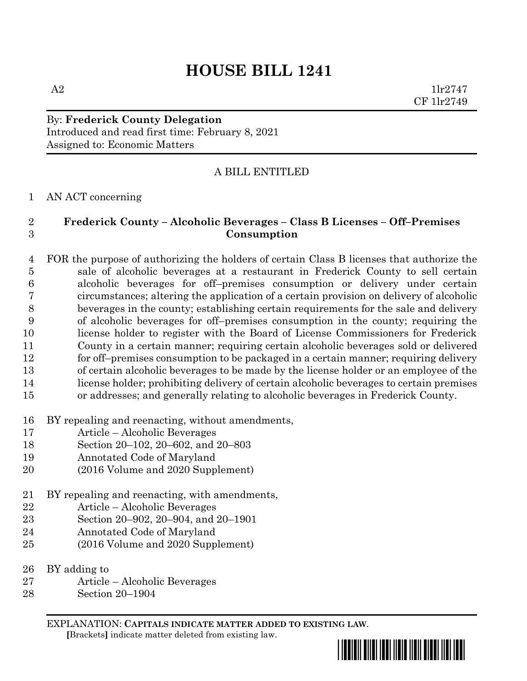# **HOUSE BILL 1241**

A2  $1\text{lr}2747$ CF 1lr2749

By: **Frederick County Delegation** Introduced and read first time: February 8, 2021 Assigned to: Economic Matters

## A BILL ENTITLED

#### AN ACT concerning

### **Frederick County – Alcoholic Beverages – Class B Licenses – Off–Premises Consumption**

 FOR the purpose of authorizing the holders of certain Class B licenses that authorize the sale of alcoholic beverages at a restaurant in Frederick County to sell certain alcoholic beverages for off–premises consumption or delivery under certain circumstances; altering the application of a certain provision on delivery of alcoholic beverages in the county; establishing certain requirements for the sale and delivery of alcoholic beverages for off–premises consumption in the county; requiring the license holder to register with the Board of License Commissioners for Frederick County in a certain manner; requiring certain alcoholic beverages sold or delivered for off–premises consumption to be packaged in a certain manner; requiring delivery of certain alcoholic beverages to be made by the license holder or an employee of the license holder; prohibiting delivery of certain alcoholic beverages to certain premises or addresses; and generally relating to alcoholic beverages in Frederick County.

- BY repealing and reenacting, without amendments,
- Article Alcoholic Beverages
- Section 20–102, 20–602, and 20–803
- Annotated Code of Maryland
- (2016 Volume and 2020 Supplement)
- BY repealing and reenacting, with amendments,
- Article Alcoholic Beverages
- Section 20–902, 20–904, and 20–1901
- Annotated Code of Maryland
- (2016 Volume and 2020 Supplement)
- BY adding to
- Article Alcoholic Beverages
- Section 20–1904

EXPLANATION: **CAPITALS INDICATE MATTER ADDED TO EXISTING LAW**.  **[**Brackets**]** indicate matter deleted from existing law.

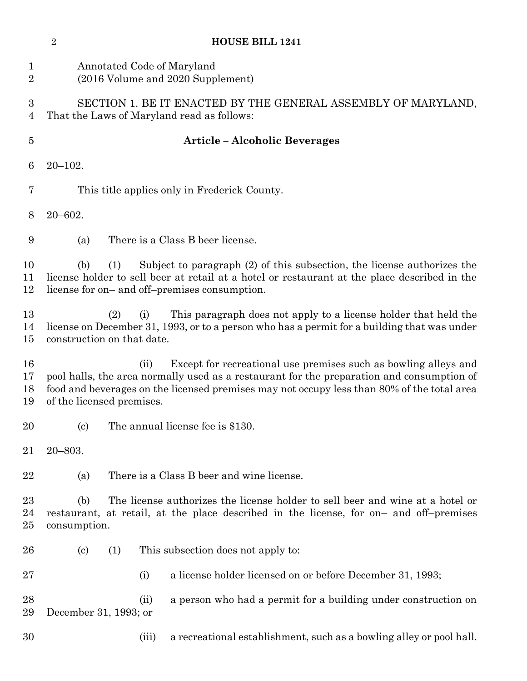|                               | $\sqrt{2}$                 | <b>HOUSE BILL 1241</b>                                                                                                                                                                                                                                                                          |
|-------------------------------|----------------------------|-------------------------------------------------------------------------------------------------------------------------------------------------------------------------------------------------------------------------------------------------------------------------------------------------|
| $\mathbf 1$<br>$\overline{2}$ |                            | Annotated Code of Maryland<br>(2016 Volume and 2020 Supplement)                                                                                                                                                                                                                                 |
| 3<br>4                        |                            | SECTION 1. BE IT ENACTED BY THE GENERAL ASSEMBLY OF MARYLAND,<br>That the Laws of Maryland read as follows:                                                                                                                                                                                     |
| $\overline{5}$                |                            | <b>Article - Alcoholic Beverages</b>                                                                                                                                                                                                                                                            |
| 6                             | $20 - 102.$                |                                                                                                                                                                                                                                                                                                 |
| 7                             |                            | This title applies only in Frederick County.                                                                                                                                                                                                                                                    |
| 8                             | $20 - 602.$                |                                                                                                                                                                                                                                                                                                 |
| 9                             | (a)                        | There is a Class B beer license.                                                                                                                                                                                                                                                                |
| 10<br>11<br>12                | (b)                        | Subject to paragraph (2) of this subsection, the license authorizes the<br>(1)<br>license holder to sell beer at retail at a hotel or restaurant at the place described in the<br>license for on- and off-premises consumption.                                                                 |
| 13<br>14<br>15                |                            | This paragraph does not apply to a license holder that held the<br>(2)<br>(i)<br>license on December 31, 1993, or to a person who has a permit for a building that was under<br>construction on that date.                                                                                      |
| 16<br>17<br>18<br>19          |                            | Except for recreational use premises such as bowling alleys and<br>(ii)<br>pool halls, the area normally used as a restaurant for the preparation and consumption of<br>food and beverages on the licensed premises may not occupy less than 80% of the total area<br>of the licensed premises. |
| 20                            | $\left( \mathrm{c}\right)$ | The annual license fee is \$130.                                                                                                                                                                                                                                                                |
| 21                            | $20 - 803.$                |                                                                                                                                                                                                                                                                                                 |
| 22                            | (a)                        | There is a Class B beer and wine license.                                                                                                                                                                                                                                                       |
| 23<br>24<br>25                | (b)<br>consumption.        | The license authorizes the license holder to sell beer and wine at a hotel or<br>restaurant, at retail, at the place described in the license, for on- and off-premises                                                                                                                         |
| 26                            | $\left( \text{c}\right)$   | (1)<br>This subsection does not apply to:                                                                                                                                                                                                                                                       |
| 27                            |                            | a license holder licensed on or before December 31, 1993;<br>(i)                                                                                                                                                                                                                                |
| 28<br>29                      | December 31, 1993; or      | a person who had a permit for a building under construction on<br>(ii)                                                                                                                                                                                                                          |
| 30                            |                            | a recreational establishment, such as a bowling alley or pool hall.<br>(iii)                                                                                                                                                                                                                    |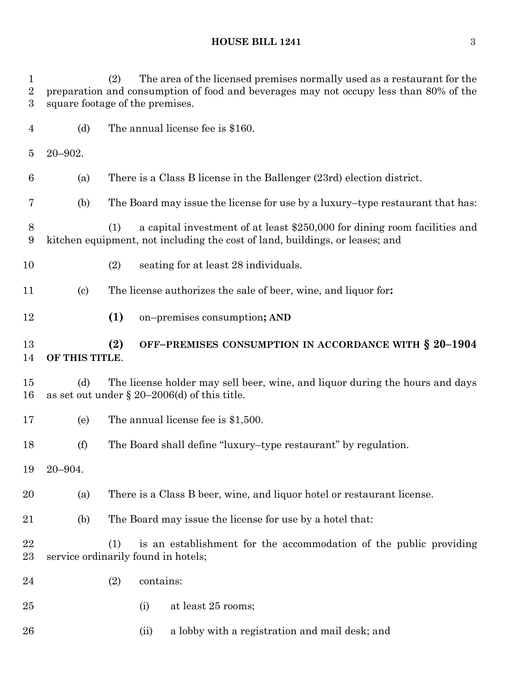**HOUSE BILL 1241** 3

 (2) The area of the licensed premises normally used as a restaurant for the preparation and consumption of food and beverages may not occupy less than 80% of the square footage of the premises. (d) The annual license fee is \$160. 20–902. (a) There is a Class B license in the Ballenger (23rd) election district. (b) The Board may issue the license for use by a luxury–type restaurant that has: (1) a capital investment of at least \$250,000 for dining room facilities and kitchen equipment, not including the cost of land, buildings, or leases; and (2) seating for at least 28 individuals. (c) The license authorizes the sale of beer, wine, and liquor for**: (1)** on–premises consumption**; AND (2) OFF–PREMISES CONSUMPTION IN ACCORDANCE WITH § 20–1904 OF THIS TITLE**. (d) The license holder may sell beer, wine, and liquor during the hours and days 16 as set out under  $\S 20-2006$  (d) of this title. (e) The annual license fee is \$1,500. (f) The Board shall define "luxury–type restaurant" by regulation. 20–904. (a) There is a Class B beer, wine, and liquor hotel or restaurant license. (b) The Board may issue the license for use by a hotel that: (1) is an establishment for the accommodation of the public providing service ordinarily found in hotels; (2) contains: (i) at least 25 rooms; 26 (ii) a lobby with a registration and mail desk; and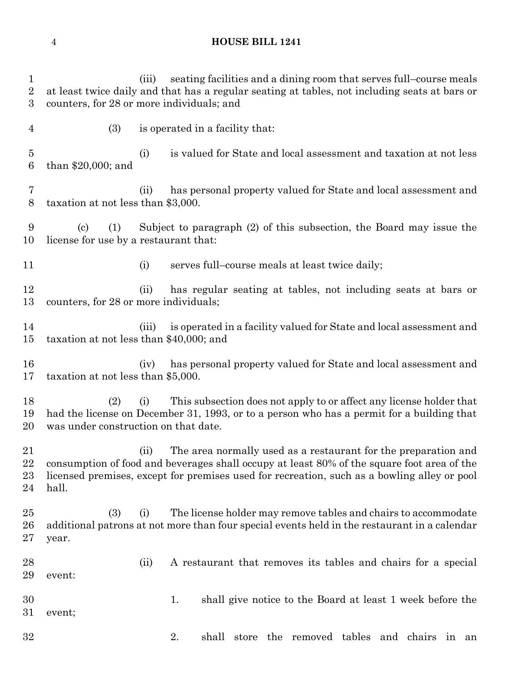#### **HOUSE BILL 1241**

 (iii) seating facilities and a dining room that serves full–course meals at least twice daily and that has a regular seating at tables, not including seats at bars or counters, for 28 or more individuals; and (3) is operated in a facility that: (i) is valued for State and local assessment and taxation at not less than \$20,000; and (ii) has personal property valued for State and local assessment and taxation at not less than \$3,000. (c) (1) Subject to paragraph (2) of this subsection, the Board may issue the license for use by a restaurant that: 11 (i) serves full–course meals at least twice daily; (ii) has regular seating at tables, not including seats at bars or counters, for 28 or more individuals; (iii) is operated in a facility valued for State and local assessment and taxation at not less than \$40,000; and (iv) has personal property valued for State and local assessment and taxation at not less than \$5,000. (2) (i) This subsection does not apply to or affect any license holder that had the license on December 31, 1993, or to a person who has a permit for a building that was under construction on that date. (ii) The area normally used as a restaurant for the preparation and consumption of food and beverages shall occupy at least 80% of the square foot area of the licensed premises, except for premises used for recreation, such as a bowling alley or pool hall. (3) (i) The license holder may remove tables and chairs to accommodate additional patrons at not more than four special events held in the restaurant in a calendar year. (ii) A restaurant that removes its tables and chairs for a special event: 1. shall give notice to the Board at least 1 week before the event; 2. shall store the removed tables and chairs in an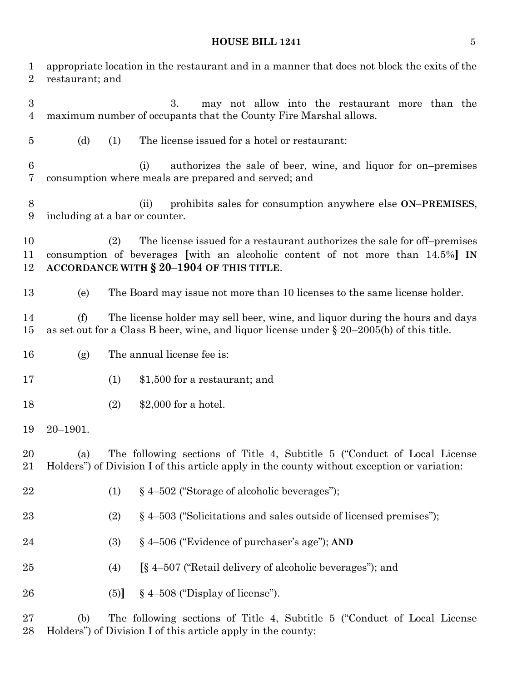# **HOUSE BILL 1241** 5

| $\mathbf 1$<br>$\overline{2}$      | restaurant; and | appropriate location in the restaurant and in a manner that does not block the exits of the                                                                                                                   |
|------------------------------------|-----------------|---------------------------------------------------------------------------------------------------------------------------------------------------------------------------------------------------------------|
| $\boldsymbol{3}$<br>$\overline{4}$ |                 | 3.<br>may not allow into the restaurant more than the<br>maximum number of occupants that the County Fire Marshal allows.                                                                                     |
| $\overline{5}$                     | (d)             | (1)<br>The license issued for a hotel or restaurant:                                                                                                                                                          |
| 6<br>7                             |                 | authorizes the sale of beer, wine, and liquor for on-premises<br>(i)<br>consumption where meals are prepared and served; and                                                                                  |
| 8<br>9                             |                 | prohibits sales for consumption anywhere else ON-PREMISES,<br>(ii)<br>including at a bar or counter.                                                                                                          |
| 10<br>11<br>12                     |                 | The license issued for a restaurant authorizes the sale for off-premises<br>(2)<br>consumption of beverages [with an alcoholic content of not more than 14.5%] IN<br>ACCORDANCE WITH § 20-1904 OF THIS TITLE. |
| 13                                 | (e)             | The Board may issue not more than 10 licenses to the same license holder.                                                                                                                                     |
| 14<br>15                           | (f)             | The license holder may sell beer, wine, and liquor during the hours and days<br>as set out for a Class B beer, wine, and liquor license under $\S 20-2005(b)$ of this title.                                  |
| 16                                 | (g)             | The annual license fee is:                                                                                                                                                                                    |
| 17                                 |                 | (1)<br>\$1,500 for a restaurant; and                                                                                                                                                                          |
| 18                                 |                 | $$2,000$ for a hotel.<br>(2)                                                                                                                                                                                  |
| 19                                 | $20 - 1901.$    |                                                                                                                                                                                                               |
| 20<br>21                           | (a)             | The following sections of Title 4, Subtitle 5 ("Conduct of Local License"<br>Holders") of Division I of this article apply in the county without exception or variation:                                      |
| 22                                 |                 | §4–502 ("Storage of alcoholic beverages");<br>(1)                                                                                                                                                             |
| 23                                 |                 | (2)<br>$\S$ 4–503 ("Solicitations and sales outside of licensed premises");                                                                                                                                   |
| 24                                 |                 | § 4-506 ("Evidence of purchaser's age"); AND<br>(3)                                                                                                                                                           |
| 25                                 |                 | [§ 4-507 ("Retail delivery of alcoholic beverages"); and<br>(4)                                                                                                                                               |
| 26                                 |                 | $\S$ 4–508 ("Display of license").<br>(5)                                                                                                                                                                     |
| 27                                 | (b)             | The following sections of Title 4, Subtitle 5 ("Conduct of Local License"                                                                                                                                     |

Holders") of Division I of this article apply in the county: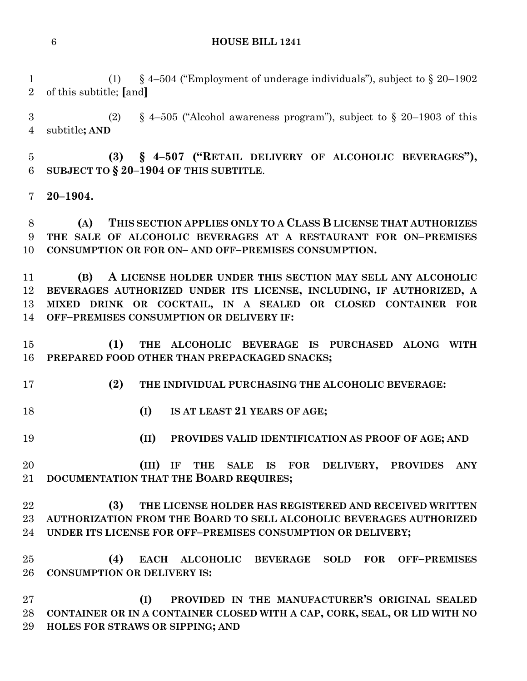#### **HOUSE BILL 1241**

 (1) § 4–504 ("Employment of underage individuals"), subject to § 20–1902 of this subtitle; **[**and**]**

3 (2) § 4–505 ("Alcohol awareness program"), subject to § 20–1903 of this subtitle**; AND**

 **(3) § 4–507 ("RETAIL DELIVERY OF ALCOHOLIC BEVERAGES"), SUBJECT TO § 20–1904 OF THIS SUBTITLE**.

**20–1904.**

 **(A) THIS SECTION APPLIES ONLY TO A CLASS B LICENSE THAT AUTHORIZES THE SALE OF ALCOHOLIC BEVERAGES AT A RESTAURANT FOR ON–PREMISES CONSUMPTION OR FOR ON– AND OFF–PREMISES CONSUMPTION.**

 **(B) A LICENSE HOLDER UNDER THIS SECTION MAY SELL ANY ALCOHOLIC BEVERAGES AUTHORIZED UNDER ITS LICENSE, INCLUDING, IF AUTHORIZED, A MIXED DRINK OR COCKTAIL, IN A SEALED OR CLOSED CONTAINER FOR OFF–PREMISES CONSUMPTION OR DELIVERY IF:**

 **(1) THE ALCOHOLIC BEVERAGE IS PURCHASED ALONG WITH PREPARED FOOD OTHER THAN PREPACKAGED SNACKS;**

- **(2) THE INDIVIDUAL PURCHASING THE ALCOHOLIC BEVERAGE:**
- **(I) IS AT LEAST 21 YEARS OF AGE;**
- **(II) PROVIDES VALID IDENTIFICATION AS PROOF OF AGE; AND**

 **(III) IF THE SALE IS FOR DELIVERY, PROVIDES ANY DOCUMENTATION THAT THE BOARD REQUIRES;**

 **(3) THE LICENSE HOLDER HAS REGISTERED AND RECEIVED WRITTEN AUTHORIZATION FROM THE BOARD TO SELL ALCOHOLIC BEVERAGES AUTHORIZED UNDER ITS LICENSE FOR OFF–PREMISES CONSUMPTION OR DELIVERY;**

 **(4) EACH ALCOHOLIC BEVERAGE SOLD FOR OFF–PREMISES CONSUMPTION OR DELIVERY IS:**

 **(I) PROVIDED IN THE MANUFACTURER'S ORIGINAL SEALED CONTAINER OR IN A CONTAINER CLOSED WITH A CAP, CORK, SEAL, OR LID WITH NO HOLES FOR STRAWS OR SIPPING; AND**